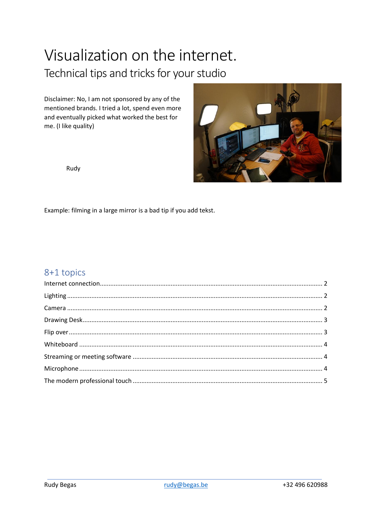# Visualization on the internet. Technical tips and tricks for your studio

Disclaimer: No, I am not sponsored by any of the mentioned brands. I tried a lot, spend even more and eventually picked what worked the best for me. (I like quality)



Rudy

Example: filming in a large mirror is a bad tip if you add tekst.

# 8+1 topics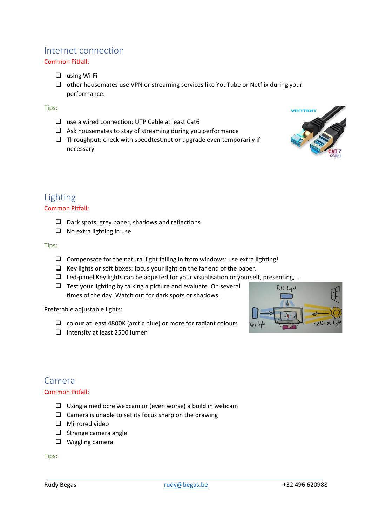# <span id="page-1-0"></span>Internet connection

### Common Pitfall:

❑ using Wi-Fi

❑ other housemates use VPN or streaming services like YouTube or Netflix during your performance.

### Tips:

- ❑ use a wired connection: UTP Cable at least Cat6
- ❑ Ask housemates to stay of streaming during you performance
- ❑ Throughput: check with speedtest.net or upgrade even temporarily if necessary



# <span id="page-1-1"></span>Lighting

### Common Pitfall:

- ❑ Dark spots, grey paper, shadows and reflections
- ❑ No extra lighting in use

#### Tips:

- ❑ Compensate for the natural light falling in from windows: use extra lighting!
- ❑ Key lights or soft boxes: focus your light on the far end of the paper.
- ❑ Led-panel Key lights can be adjusted for your visualisation or yourself, presenting, …
- $\Box$  Test your lighting by talking a picture and evaluate. On several times of the day. Watch out for dark spots or shadows.

Preferable adjustable lights:

- ❑ colour at least 4800K (arctic blue) or more for radiant colours
- ❑ intensity at least 2500 lumen



# <span id="page-1-2"></span>Camera

### Common Pitfall:

- ❑ Using a mediocre webcam or (even worse) a build in webcam
- $\Box$  Camera is unable to set its focus sharp on the drawing
- ❑ Mirrored video
- ❑ Strange camera angle
- ❑ Wiggling camera

Tips: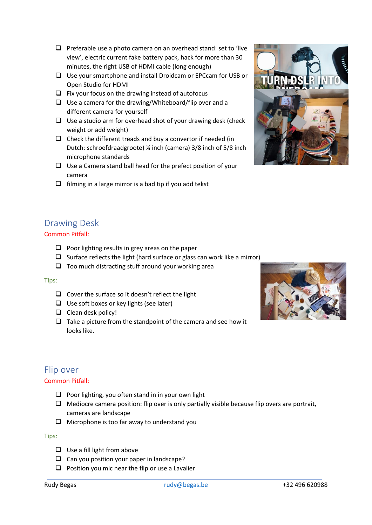- ❑ Preferable use a photo camera on an overhead stand: set to 'live view', electric current fake battery pack, hack for more than 30 minutes, the right USB of HDMI cable (long enough)
- ❑ Use your smartphone and install Droidcam or EPCcam for USB or Open Studio for HDMI
- $\Box$  Fix your focus on the drawing instead of autofocus
- ❑ Use a camera for the drawing/Whiteboard/flip over and a different camera for yourself
- ❑ Use a studio arm for overhead shot of your drawing desk (check weight or add weight)
- $\Box$  Check the different treads and buy a convertor if needed (in Dutch: schroefdraadgroote) ¼ inch (camera) 3/8 inch of 5/8 inch microphone standards
- ❑ Use a Camera stand ball head for the prefect position of your camera
- $\Box$  filming in a large mirror is a bad tip if you add tekst



# <span id="page-2-0"></span>Drawing Desk

### Common Pitfall:

- $\Box$  Poor lighting results in grey areas on the paper
- ❑ Surface reflects the light (hard surface or glass can work like a mirror)
- ❑ Too much distracting stuff around your working area

### Tips:

- ❑ Cover the surface so it doesn't reflect the light
- ❑ Use soft boxes or key lights (see later)
- ❑ Clean desk policy!
- $\Box$  Take a picture from the standpoint of the camera and see how it looks like.



# <span id="page-2-1"></span>Flip over

### Common Pitfall:

- ❑ Poor lighting, you often stand in in your own light
- $\Box$  Mediocre camera position: flip over is only partially visible because flip overs are portrait, cameras are landscape
- ❑ Microphone is too far away to understand you

#### Tips:

- ❑ Use a fill light from above
- ❑ Can you position your paper in landscape?
- ❑ Position you mic near the flip or use a Lavalier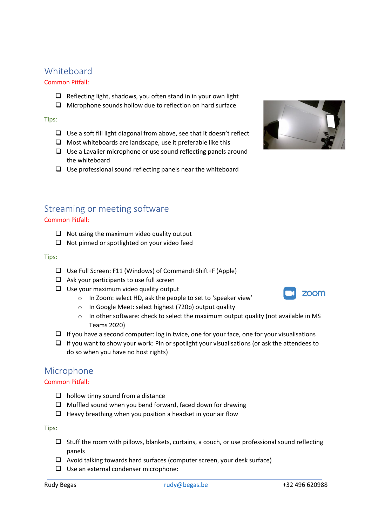# <span id="page-3-0"></span>**Whiteboard**

## Common Pitfall:

- ❑ Reflecting light, shadows, you often stand in in your own light
- ❑ Microphone sounds hollow due to reflection on hard surface

### Tips:

- ❑ Use a soft fill light diagonal from above, see that it doesn't reflect
- ❑ Most whiteboards are landscape, use it preferable like this
- ❑ Use a Lavalier microphone or use sound reflecting panels around the whiteboard
- ❑ Use professional sound reflecting panels near the whiteboard



# <span id="page-3-1"></span>Streaming or meeting software

### Common Pitfall:

- ❑ Not using the maximum video quality output
- ❑ Not pinned or spotlighted on your video feed

#### Tips:

- ❑ Use Full Screen: F11 (Windows) of Command+Shift+F (Apple)
- ❑ Ask your participants to use full screen
- ❑ Use your maximum video quality output
	- o In Zoom: select HD, ask the people to set to 'speaker view'
	- o In Google Meet: select highest (720p) output quality
	- $\circ$  In other software: check to select the maximum output quality (not available in MS Teams 2020)
- ❑ If you have a second computer: log in twice, one for your face, one for your visualisations
- $\Box$  if you want to show your work: Pin or spotlight your visualisations (or ask the attendees to do so when you have no host rights)

# <span id="page-3-2"></span>Microphone

### Common Pitfall:

- $\Box$  hollow tinny sound from a distance
- ❑ Muffled sound when you bend forward, faced down for drawing
- $\Box$  Heavy breathing when you position a headset in your air flow

Tips:

- ❑ Stuff the room with pillows, blankets, curtains, a couch, or use professional sound reflecting panels
- ❑ Avoid talking towards hard surfaces (computer screen, your desk surface)
- ❑ Use an external condenser microphone: